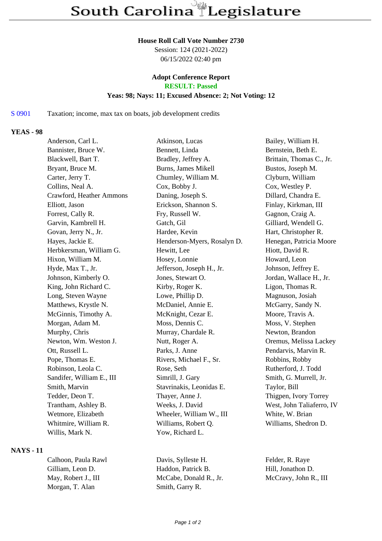#### **House Roll Call Vote Number 2730**

Session: 124 (2021-2022) 06/15/2022 02:40 pm

# **Adopt Conference Report**

**RESULT: Passed**

### **Yeas: 98; Nays: 11; Excused Absence: 2; Not Voting: 12**

S 0901 Taxation; income, max tax on boats, job development credits

### **YEAS - 98**

| Anderson, Carl L.         | Atkinson, Lucas             | Bailey, William H.        |
|---------------------------|-----------------------------|---------------------------|
| Bannister, Bruce W.       | Bennett, Linda              | Bernstein, Beth E.        |
| Blackwell, Bart T.        | Bradley, Jeffrey A.         | Brittain, Thomas C., Jr.  |
| Bryant, Bruce M.          | Burns, James Mikell         | Bustos, Joseph M.         |
| Carter, Jerry T.          | Chumley, William M.         | Clyburn, William          |
| Collins, Neal A.          | Cox, Bobby J.               | Cox, Westley P.           |
| Crawford, Heather Ammons  | Daning, Joseph S.           | Dillard, Chandra E.       |
| Elliott, Jason            | Erickson, Shannon S.        | Finlay, Kirkman, III      |
| Forrest, Cally R.         | Fry, Russell W.             | Gagnon, Craig A.          |
| Garvin, Kambrell H.       | Gatch, Gil                  | Gilliard, Wendell G.      |
| Govan, Jerry N., Jr.      | Hardee, Kevin               | Hart, Christopher R.      |
| Hayes, Jackie E.          | Henderson-Myers, Rosalyn D. | Henegan, Patricia Moore   |
| Herbkersman, William G.   | Hewitt, Lee                 | Hiott, David R.           |
| Hixon, William M.         | Hosey, Lonnie               | Howard, Leon              |
| Hyde, Max T., Jr.         | Jefferson, Joseph H., Jr.   | Johnson, Jeffrey E.       |
| Johnson, Kimberly O.      | Jones, Stewart O.           | Jordan, Wallace H., Jr.   |
| King, John Richard C.     | Kirby, Roger K.             | Ligon, Thomas R.          |
| Long, Steven Wayne        | Lowe, Phillip D.            | Magnuson, Josiah          |
| Matthews, Krystle N.      | McDaniel, Annie E.          | McGarry, Sandy N.         |
| McGinnis, Timothy A.      | McKnight, Cezar E.          | Moore, Travis A.          |
| Morgan, Adam M.           | Moss, Dennis C.             | Moss, V. Stephen          |
| Murphy, Chris             | Murray, Chardale R.         | Newton, Brandon           |
| Newton, Wm. Weston J.     | Nutt, Roger A.              | Oremus, Melissa Lackey    |
| Ott, Russell L.           | Parks, J. Anne              | Pendarvis, Marvin R.      |
| Pope, Thomas E.           | Rivers, Michael F., Sr.     | Robbins, Robby            |
| Robinson, Leola C.        | Rose, Seth                  | Rutherford, J. Todd       |
| Sandifer, William E., III | Simrill, J. Gary            | Smith, G. Murrell, Jr.    |
| Smith, Marvin             | Stavrinakis, Leonidas E.    | Taylor, Bill              |
| Tedder, Deon T.           | Thayer, Anne J.             | Thigpen, Ivory Torrey     |
| Trantham, Ashley B.       | Weeks, J. David             | West, John Taliaferro, IV |
| Wetmore, Elizabeth        | Wheeler, William W., III    | White, W. Brian           |
| Whitmire, William R.      | Williams, Robert Q.         | Williams, Shedron D.      |
| Willis, Mark N.           | Yow, Richard L.             |                           |
|                           |                             |                           |

## **NAYS - 11**

Morgan, T. Alan Smith, Garry R.

Calhoon, Paula Rawl Davis, Sylleste H. Felder, R. Raye Gilliam, Leon D. Haddon, Patrick B. Hill, Jonathon D. May, Robert J., III McCabe, Donald R., Jr. McCravy, John R., III